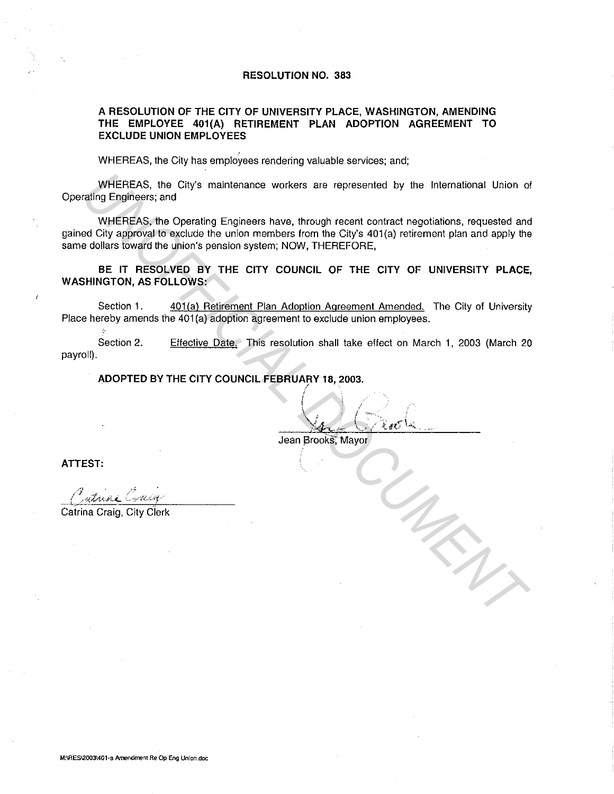#### **RESOLUTION NO. 383**

#### **A RESOLUTION OF THE CITY OF UNIVERSITY PLACE, WASHINGTON, AMENDING THE EMPLOYEE 401(A) RETIREMENT PLAN ADOPTION AGREEMENT TO EXCLUDE UNION EMPLOYEES**

WHEREAS, the City has employees rendering valuable services; and;

WHEREAS, the City's maintenance workers are represented by the International Union of Operating Engineers; and

WHEREAS, the Operating Engineers have, through recent contract negotiations, requested and gained City approval to exclude the union members from the City's 401 (a) retirement plan and apply the same dollars toward the union"s pension system; NOW, THEREFORE, WHEREAS, the City's maintenance workers are represented by the International Union of<br>
WHEREAS, the City's maintenance workers are represented by the International Union of<br>
WHEREAS, the Operating Engineers have, frough re

**BE IT RESOLVED BY THE CITY COUNCIL OF THE CITY OF UNIVERSITY PLACE, WASHINGTON, AS FOLLOWS:** 

Section 1. 401(a) Retirement Plan Adoption Agreement Amended. The City of University Place hereby amends the 401(a) adoption agreement to exclude union employees.

Section 2. payroll). Effective Date. This resolution shall take effect on March 1, 2003 (March 20

**ADOPTED BY THE CITY COUNCIL FEBRUARY 18, 2003.**  I ·.

 $\int$  $\sum_{i=1}^n$   $\sum_{i=1}^n$   $\sum_{i=1}^n$  $\sqrt{4\pi L}$  .  $\sqrt{4\pi L}$ 

Jean Brooks, Mayor

**ATTEST:** 

Catrina Craig, City Cierk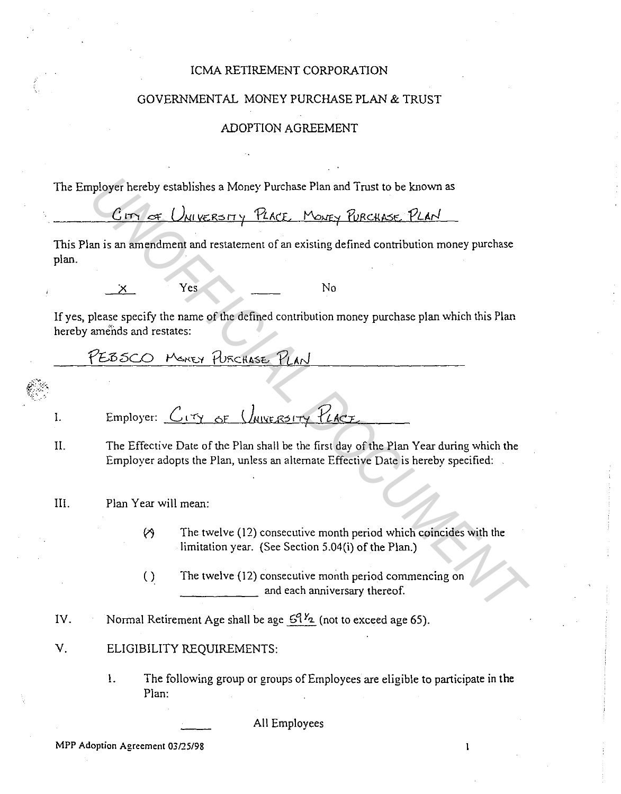#### ICMA RETIREMENT CORPORATION

#### GOVERNMENTAL MONEY PURCHASE PLAN & TRUST

#### ADOPTION AGREEMENT

The Employer hereby establishes a Money Purchase Plan and Trust to be known as

This Plan is an amendment and restatement of an existing defined contribution money purchase plan.

I.

Yes No

If yes, please specify the name of the defined contribution money purchase plan which this Plan hereby amends and restates:

II. The Effective Date of the Plan shall be the first day of the Plan Year during which the Employer adopts the Plan, unless an alternate Effective Date is hereby specified: **UNITER THE INTEREST WARE A THE INTEREST AND INTEREST AND INTEREST ACTS THE INTEREST AND INTEREST AND INTEREST AND INTEREST AND INTEREST AND RELATED AND RELATED AND RELATED THE EFFECTIVE OF CHANGE CONTINUITION OF THE EFFEC** 

- III. Plan Year will mean:
	- $(2)$  The twelve (12) consecutive month period which coincides with the limitation year. (See Section 5.04(i) of the Plan.)
	- () The twelve (12) consecutive month period commencing on and each anniversary thereof.
- IV. Normal Retirement Age shall be age  $5^{1}$ <sup>Y</sup><sub>2</sub> (not to exceed age 65).
- V. ELIGIBILITY REQUIREMENTS:
	- 1. The following group or groups of Employees are eligible to participate in the Plan:

All Employees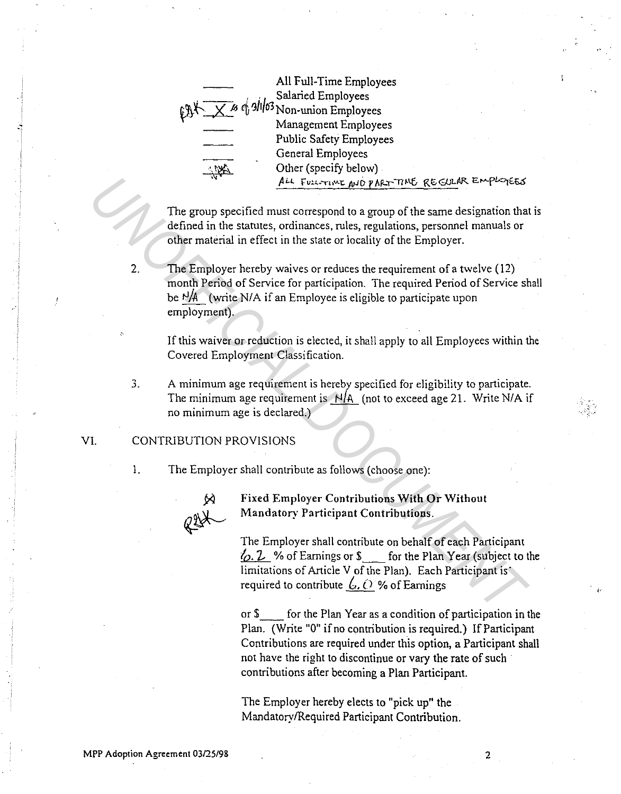

The group specified must correspond to a group of the same designation that is defined in the statutes, ordinances, rules, regulations, personnel manuals or other material in effect in the state or locality of the Employer.

2. The Employer hereby waives or reduces the requirement of a twelve (12) month Period of Service for participation. The required Period of Service shall be  $\frac{1}{4}$  (write N/A if an Employee is eligible to participate upon employment). *ALA* **F**olar-γευχε *βελο* **PAE.**<br>
The group specified must correspond to a group of the same designation that<br>
defined in the statutes, ordinances, rules, regulations, personnel manuals or<br>
defined in the state of locali

If this waiver or reduction is elected, it shall apply to all Employees within the Covered Employment Classification.

3. A minimum age requirement is hereby specified for eligibility to participate. The minimum age requirement is  $N/A$  (not to exceed age 21. Write N/A if no minimum age is declared.)

#### VI. CONTRIBUTION PROVISIONS

I. The Employer shall contribute as follows (choose one):



Fixed Employer Contributions With Or Without Mandatory Participant Contributions.

The Employer shall contribute on behalf of each Participant  $\sqrt{c}$ . 2 % of Earnings or  $\sqrt{s}$  for the Plan Year (subject to the limitations of Article V of the Plan). Each Participant is· required to contribute  $\mathcal{L}, \mathcal{O}$  % of Earnings

or \$ \_\_ for the Plan Year as a condition of participation in the Plan. (Write "O" if no contribution is required.) If Participant Contributions are required under this option, a Participant shall not have the right to discontinue or vary the rate of such contributions after becoming a Plan Participant.

The Employer hereby elects to "pick up" the Mandatory/Required Participant Contribution.

2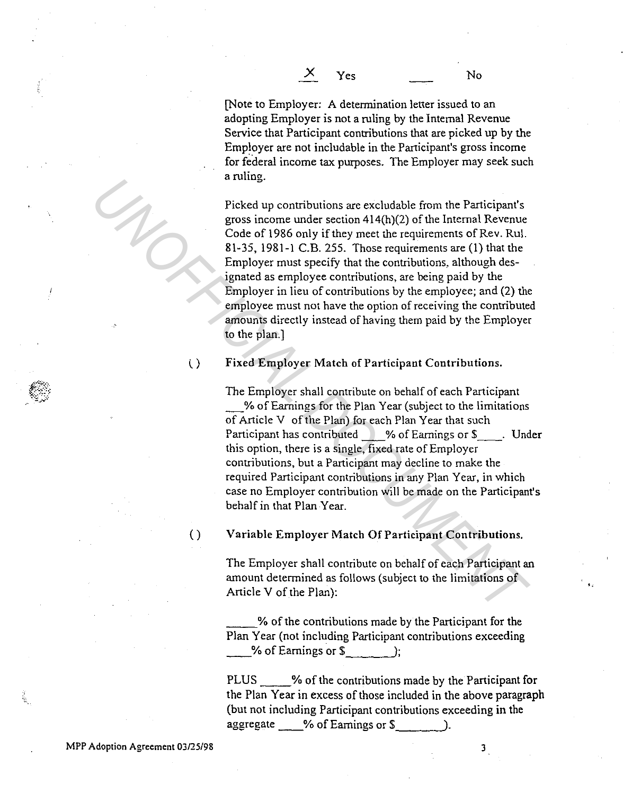[Note to Employer: A determination Jetter issued to an adopting Employer is not a ruling by the Internal Revenue Service that Participant contributions that are picked up by the Employer are not includable in the Participant's gross income for federal income tax purposes. The Employer may seek such a ruling.

Picked up contributions are excludable from the Participant's gross income under section  $414(h)(2)$  of the Internal Revenue Code of 1986 only if they meet the requirements of Rev. Rul. 81-35, 1981-1 C.B. 255. Those requirements are (1) that the Employer must specify that the contributions, although designated as employee contributions, are being paid by the Employer in lieu of contributions by the employee; and (2) the employee must not have the option of receiving the contributed amounts directly instead of having them paid by the Employer to the plan.) **Exact up contributions are excludable from the Participant's picked up contributions are excludable from the Participant's gross income under section 414(h)(2) of the Internal Revenue Code of 1986 only if they meet the re** 

Fixed Employer Match of Participant Contributions.

The Employer shall contribute on behalf of each Participant \_%of Earnings for the Plan Year (subject to the limitations of Article V of the Plan) for each Plan Year that such Participant has contributed % of Earnings or \$ . Under this option, there is a single, fixed rate of Employer contributions, but a Participant may decline to make the required Participant contributions in any Plan Year, in which case no Employer contribution will be made on the Participant's behalf in that Plan Year.

Variable Employer Match Of Participant Contributions.

The Employer shall contribute on behalf of each Participant an amount determined as follows (subject to the limitations of Article V of the Plan):

\_\_\_ %of the contributions made by the Participant for the Plan Year (not including Participant contributions exceeding \_\_ % of Earnings or \$ *---.....J* 

PLUS % of the contributions made by the Participant for the Plan Year in excess of those included in the above paragraph (but not including Participant contributions exceeding in the aggregate \_\_ % of Earnings or *\$ \_\_\_* ....J

Š,

()

,,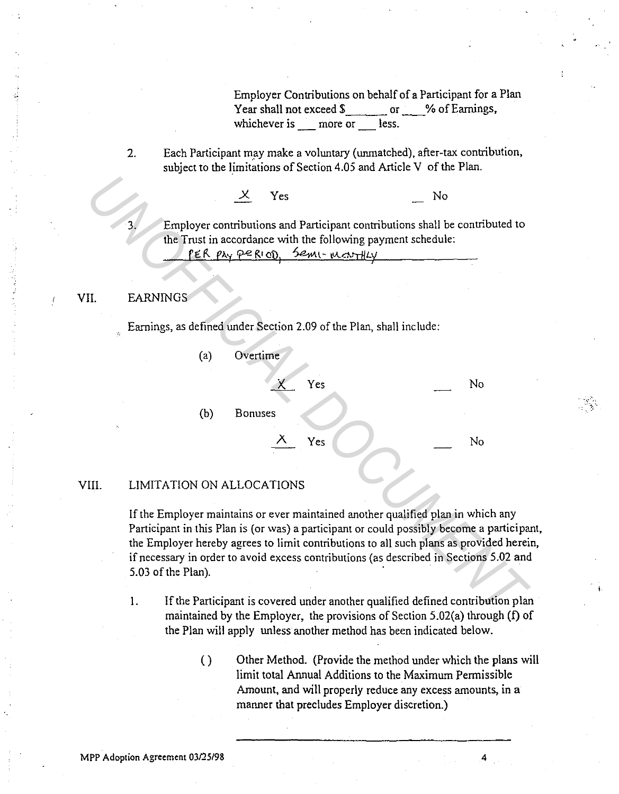Employer Contributions on behalf of a Participant for a Plan Year shall not exceed \$\_\_\_\_\_\_\_\_\_\_\_ or \_\_\_\_ % of Earnings, whichever is more or less.

2. Each Participant may make a voluntary (unmatched), after-tax contribution, subject to the limitations of Section 4.05 and Article V of the Plan.

 $\times$  Yes No

3. Employer contributions and Participant contributions shall be contributed to the Trust in accordance with the following payment schedule: fER PAY PERIOD. Semi- martilly

#### VII. EARNINGS

Earnings, as defined under Section 2.09 of the Plan, shall include:

(a) Overtime  $X$  Yes No (b) Bonuses Yes No

#### VIII. LIMITATION ON ALLOCATIONS

If the Employer maintains or ever maintained another qualified plan in which any Participant in this Plan is (or was) a participant or could possibly become a participant, the Employer hereby agrees to limit contributions to all such plans as provided herein, if necessary in order to avoid excess contributions (as described in Sections 5.02 and  $5.03$  of the Plan). X Yes<br>
<sup>2</sup> Yes<br>
<sup>2</sup> Employer contributions and Participant contributions shall be contributed to<br>
the Trust in accordance with the following payment schedule:<br>
<u>12 FARNINGS</u><br>
Earnings, as defined under Section 2.09 of the

- 1. If the Participant is covered under another qualified defined contribution plan maintained by the Employer, the provisions of Section 5.02(a) through (f) of the Plan will apply unless another method has been indicated below.
	- ( ) Other Method. (Provide the method under which the plans will limit total Annual Additions to the Maximum Permissible Amount, and will properly reduce any excess amounts, in a manner that precludes Employer discretion.)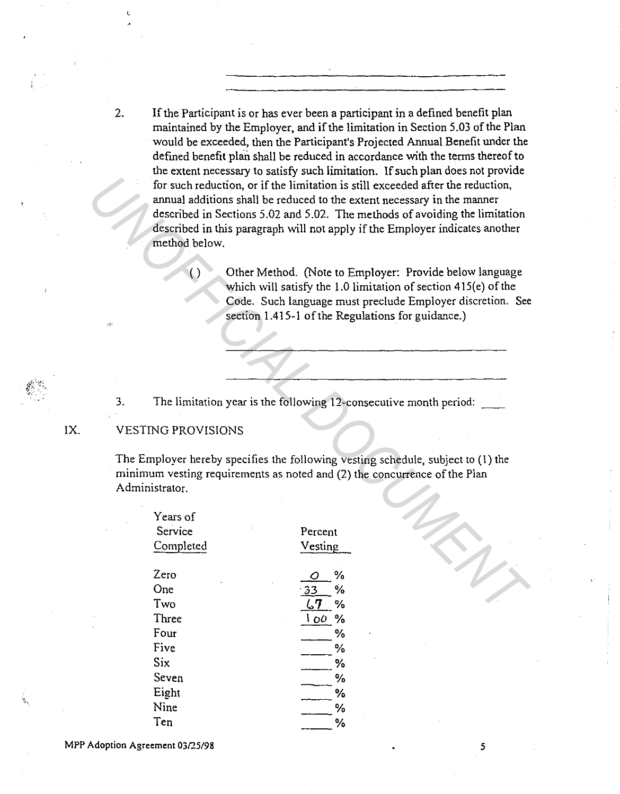2. If the Participant is or has ever been a participant in a defined benefit plan maintained by the Employer, and if the limitation in Section 5.03 of the Plan would be exceeded, then the Participant's Projected Annual Benefit under the defined benefit plan shall be reduced in accordance with the terms thereof to the extent necessary to satisfy such limitation. lf such plan does not provide for such reduction, or if the limitation is still exceeded after the reduction, annual additions shall be reduced to the extent necessary in the manner described in Sections 5.02 and 5.02. The methods of avoiding the limitation described in this paragraph will not apply if the Employer indicates another method below. For such reduction, or if the limitation is still exceeded after the reduction,<br>anoual additions shall be reducted to the extent necessary in the manner<br>accribed in this paragraph will not apply if the Employer indicates a

( ) Other Method. (Note to Employer: Provide below language which will satisfy the 1.0 limitation of section 415(e) of the Code. Such language must preclude Employer discretion. See section 1.415-1 of the Regulations for guidance.)

3. The limitation year is the following 12-consecutive month period: \_\_\_\_

## IX. VESTING PROVISIONS

'·

The Employer hereby specifies the following vesting schedule, subject to (1) the minimum vesting requirements as noted and (2) the concurrence of the Plan Administrator.

| Years of                        |                          |   |
|---------------------------------|--------------------------|---|
| Service                         | Percent                  |   |
| Completed                       | Vesting                  |   |
| Zero                            | $\frac{0}{0}$<br>$\circ$ |   |
| One                             | $\frac{0}{2}$<br>$-33$   |   |
| Two                             | $\mathcal{L}$<br>$\%$    |   |
| Three                           | 100%                     |   |
| Four                            | %                        |   |
| Five                            | ℅                        |   |
| Six                             | %                        |   |
| Seven                           | %                        |   |
| Eight                           | $\frac{0}{6}$            |   |
| Nine                            | %                        |   |
| Ten                             | %                        |   |
| MPP Adoption Agreement 03/25/98 |                          | 5 |
|                                 |                          |   |

 $\sim$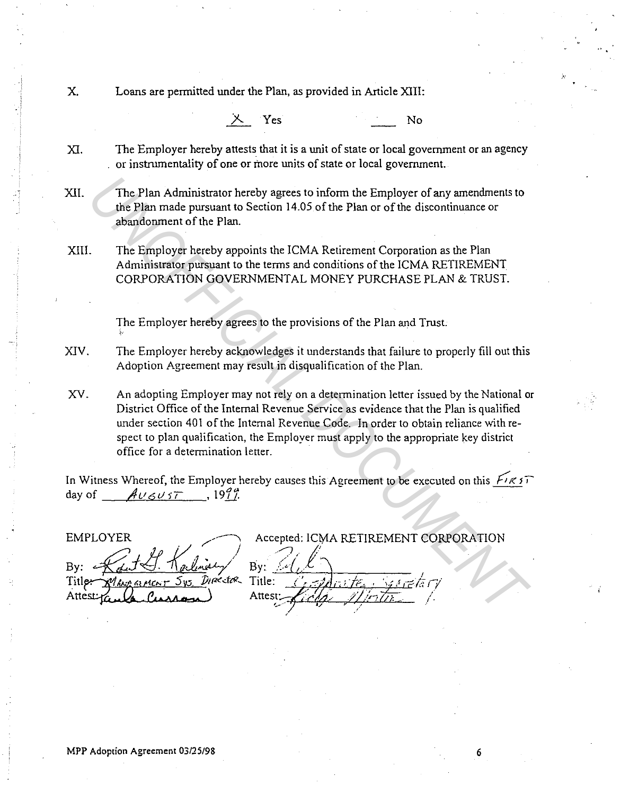X. Loans are permitted under the Plan, as provided in Article XIII:

A Yes No

XI. The Employer hereby attests that it is a unit of state or local government or an agency or instnunentality of one or more units of state or local government.

XII. The Plan Administrator hereby agrees to inform the Employer of any amendments to the Plan made pursuant to Section 14.05 of the Plan or of the discontinuance or abandonment of the Plan.

XIII. The Employer hereby appoints the ICMA Retirement Corporation as the Plan Administrator pursuant to the terms and conditions of the ICMA RETIREMENT CORPORATION GOVERNMENTAL MONEY PURCHASE PLAN & TRUST.

The Employer hereby agrees to the provisions of the Plan and Trust.

XIV. The Employer hereby acknowledges it understands that failure to properly fill out this Adoption Agreement may result in disqualification of the Plan.

XV. An adopting Employer may not rely on a determination letter issued by the National or District Office of the Internal Revenue Service as evidence that the Plan is qualified under section 401 of the Internal Revenue Code. In order to obtain reliance with respect to plan qualification, the Employer must apply to the appropriate key district office for a determination letter.

In Witness Whereof, the Employer hereby causes this Agreement to be executed on this  $F(85)$ day of  $A\cup\{0\}$  , 19<sup>9</sup>.

The Plan Administrator hereby agrees to inform the Employer of any amendments to<br>the Plan made pursuant to Section 14.05 of the Plan or of the discontinuance or<br>abandomment of the Plan.<br>The Employer hereby appoints the IC Accepted: ICMA RETIREMENT CORPORATION Bv: By: *:>·* .- Title:  $\mathcal{L}$  politic te<sub>s</sub> : square to ry /·

6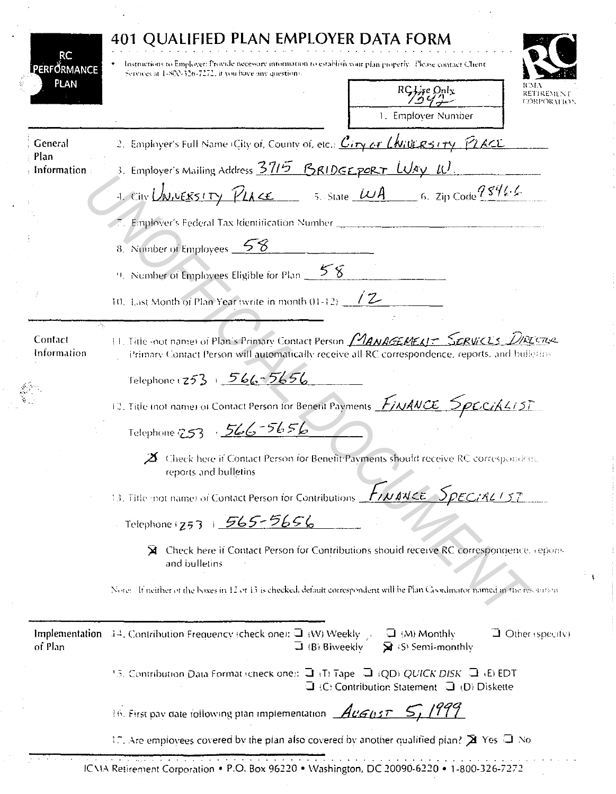| PERFŐRMANCE                     | Instructions to Employer: Provide necessary information to establish your plan properly. Please contact Chent<br>Services at $1-800-326-7272$ , it you have any questions. |                                                                                                                                                                                               |                                  |  |  |  |
|---------------------------------|----------------------------------------------------------------------------------------------------------------------------------------------------------------------------|-----------------------------------------------------------------------------------------------------------------------------------------------------------------------------------------------|----------------------------------|--|--|--|
| <b>PLAN</b>                     |                                                                                                                                                                            | $RG_{\mathcal{H}}$ e Only                                                                                                                                                                     | ИMА<br>RETIREMENT<br>CORPORATION |  |  |  |
|                                 |                                                                                                                                                                            | 1. Employer Number                                                                                                                                                                            |                                  |  |  |  |
| <b>General</b>                  |                                                                                                                                                                            | 2. Employer's Full Name (City of, County of, etc.) City of Living RSITY PLACE                                                                                                                 |                                  |  |  |  |
| Plan<br>$\pm$ Information $\pm$ | 3. Employer's Mailing Address $\frac{3715}{5}$ BRIDGEPORT $\omega_{xy}$ $\omega$ .                                                                                         |                                                                                                                                                                                               |                                  |  |  |  |
|                                 |                                                                                                                                                                            | 4. City UNIVERSITY PLACE 5. State WA 6. Zip Code 9 846.6.                                                                                                                                     |                                  |  |  |  |
|                                 |                                                                                                                                                                            | 27. Employer's Federal Tax Identification Number ________________________________                                                                                                             |                                  |  |  |  |
|                                 | 8. Number of Employees 58                                                                                                                                                  |                                                                                                                                                                                               |                                  |  |  |  |
|                                 | 9. Number of Employees Eligible for Plan $58$                                                                                                                              |                                                                                                                                                                                               |                                  |  |  |  |
|                                 | 10. Last Month of Plan-Year (write in month $01-12$ ) $-72$                                                                                                                |                                                                                                                                                                                               |                                  |  |  |  |
| 个别                              |                                                                                                                                                                            |                                                                                                                                                                                               |                                  |  |  |  |
| Contact<br>Information          |                                                                                                                                                                            | 11. Title (not name) of Plan's Primary Contact Person <i>MANAGEMELIT SERVICES URECTURE</i><br>Primary Contact Person will automatically receive all RC correspondence, reports, and bulletins |                                  |  |  |  |
|                                 | Telephone (253) 566-5656                                                                                                                                                   |                                                                                                                                                                                               |                                  |  |  |  |
|                                 |                                                                                                                                                                            | 12. Title (not name) of Contact Person for Benefit Payments <i>FINANCE</i> SpeciAL/57                                                                                                         |                                  |  |  |  |
|                                 | Telephone $253 - 56556$                                                                                                                                                    |                                                                                                                                                                                               |                                  |  |  |  |
|                                 | reports and bulletins                                                                                                                                                      | $\chi$ Check here if Contact Person for Benefit Payments should receive RC correspondence                                                                                                     |                                  |  |  |  |
|                                 |                                                                                                                                                                            |                                                                                                                                                                                               |                                  |  |  |  |
|                                 |                                                                                                                                                                            | 13. Title not name of Contact Person for Contributions FINANCE SPECIRLIST                                                                                                                     |                                  |  |  |  |
|                                 | Telephone (253) $565 - 5656$                                                                                                                                               |                                                                                                                                                                                               |                                  |  |  |  |
|                                 | and bulletins                                                                                                                                                              | X Check here if Contact Person for Contributions should receive RC correspondence. reports                                                                                                    |                                  |  |  |  |
|                                 |                                                                                                                                                                            | Note: It neither of the boxes in 12 or 13 is checked, default correspondent will be Plan Coordinator named in the resolution                                                                  |                                  |  |  |  |
| of Plan                         | Implementation (14. Contribution Frequency (check one): $\Box$ (W) Weekly (2010) Monthly                                                                                   | $\overline{\rightarrow}$ (B) Biweekly $\overline{\rightarrow}$ (S) Semi-monthly                                                                                                               |                                  |  |  |  |
|                                 |                                                                                                                                                                            | 15. Contribution Data Format (check one): $\Box$ (T) Tape $\Box$ (QD) QUICK DISK $\Box$ (E) EDT<br>$\Box$ (C) Contribution Statement $\Box$ (D) Diskette                                      |                                  |  |  |  |
|                                 | 16. First pay date following plan implementation $\mathcal{A}$ UGUST $\mathcal{S}$ , 1999                                                                                  |                                                                                                                                                                                               | $\Box$ Other (specify)           |  |  |  |

े ।

ICMA Retirement Corporation . P.O. Box 96220 . Washington, DC 20090-6220 . 1-800-326-7272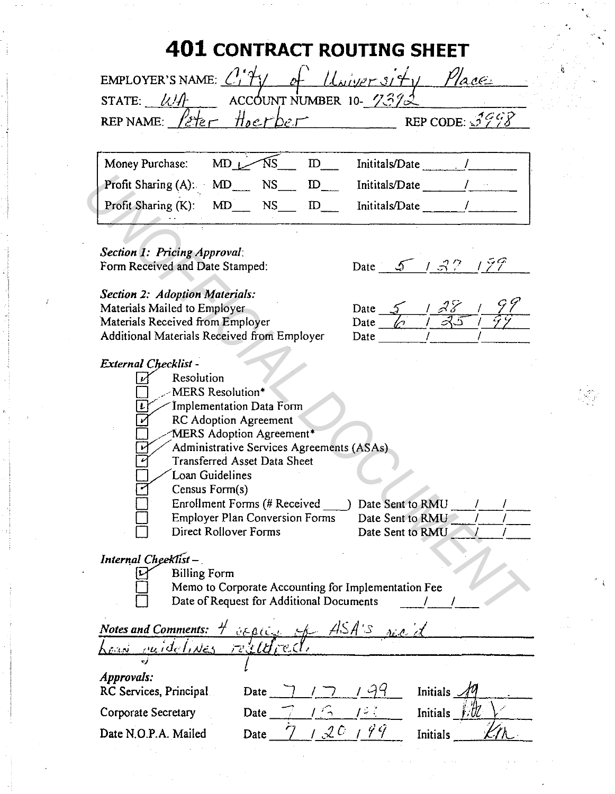# **401 CONTRACT ROUTING SHEET**

| EMPLOYER'S NAME: $C/T/$                              | $\mu$                          | $\nu_{\scriptscriptstyle D}$ oc. |
|------------------------------------------------------|--------------------------------|----------------------------------|
| STATE: $\lambda M$                                   | $\sim$ ACCOUNT NUMBER 10- 7392 |                                  |
| REPNAME: $\ell$ <sub>eter</sub> H <sub>o</sub> erber |                                | REP CODE: $3998$                 |

| Money Purchase:        | $MD \sim$ NS | Inititals/Date             |
|------------------------|--------------|----------------------------|
| Profit Sharing (A): MD | NS.          | Inititals/Date<br>$\cdots$ |
| Profit Sharing (K):    | - MD<br>NS.  | Inititals/Date             |

Section 1: Pricing Approval: Form Received and Date Stamped:

Date 5 137 199

# **Section 2: Adoption Materials:**

Materials Mailed to Employer Materials Received from Employer Additional Materials Received from Employer

| Date  |  |  |
|-------|--|--|
| Date  |  |  |
| Date. |  |  |

## External Checklist -

| Resolution                                                               |  |  |  |  |  |  |
|--------------------------------------------------------------------------|--|--|--|--|--|--|
| MERS Resolution*                                                         |  |  |  |  |  |  |
| Implementation Data Form                                                 |  |  |  |  |  |  |
| <b>RC</b> Adoption Agreement                                             |  |  |  |  |  |  |
| MERS Adoption Agreement <sup>*</sup>                                     |  |  |  |  |  |  |
| Administrative Services Agreements (ASAs)                                |  |  |  |  |  |  |
| <b>Transferred Asset Data Sheet</b>                                      |  |  |  |  |  |  |
| Loan Guidelines                                                          |  |  |  |  |  |  |
| Census Form(s)                                                           |  |  |  |  |  |  |
| Enrollment Forms (# Received<br>Date Sent to RMU                         |  |  |  |  |  |  |
| <b>Employer Plan Conversion Forms</b><br>Date Sent to RMU                |  |  |  |  |  |  |
| Direct Rollover Forms<br>Date Sent to RMU                                |  |  |  |  |  |  |
| Internal Cheeklist-                                                      |  |  |  |  |  |  |
| <b>Billing Form</b>                                                      |  |  |  |  |  |  |
|                                                                          |  |  |  |  |  |  |
| Memo to Corporate Accounting for Implementation Fee                      |  |  |  |  |  |  |
| Date of Request for Additional Documents                                 |  |  |  |  |  |  |
| Notes and Comments: 4 capital of ASA's need<br>Lean ruidelines realities |  |  |  |  |  |  |
|                                                                          |  |  |  |  |  |  |
|                                                                          |  |  |  |  |  |  |
| Approvals:                                                               |  |  |  |  |  |  |
| <b>Initials</b><br>RC Services, Principal<br>Date                        |  |  |  |  |  |  |

| $\mu \nu \nu \nu \nu \nu \nu \nu$<br>RC Services, Principal | Date        |           |                                          | <b>Initials</b> |  |
|-------------------------------------------------------------|-------------|-----------|------------------------------------------|-----------------|--|
| Corporate Secretary                                         | <b>Date</b> |           | $\mathbf{r} \in \mathbb{R}^{n \times n}$ | <b>Initials</b> |  |
| Date N.O.P.A. Mailed                                        | Date        | $-$ Q $C$ |                                          | Initials        |  |